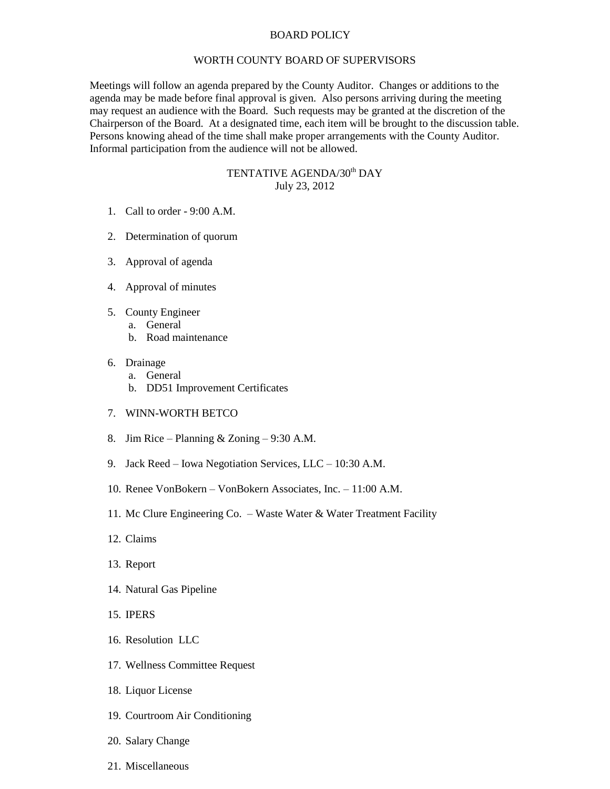## BOARD POLICY

## WORTH COUNTY BOARD OF SUPERVISORS

Meetings will follow an agenda prepared by the County Auditor. Changes or additions to the agenda may be made before final approval is given. Also persons arriving during the meeting may request an audience with the Board. Such requests may be granted at the discretion of the Chairperson of the Board. At a designated time, each item will be brought to the discussion table. Persons knowing ahead of the time shall make proper arrangements with the County Auditor. Informal participation from the audience will not be allowed.

## TENTATIVE AGENDA/30<sup>th</sup> DAY July 23, 2012

- 1. Call to order 9:00 A.M.
- 2. Determination of quorum
- 3. Approval of agenda
- 4. Approval of minutes
- 5. County Engineer
	- a. General
	- b. Road maintenance
- 6. Drainage
	- a. General
	- b. DD51 Improvement Certificates
- 7. WINN-WORTH BETCO
- 8. Jim Rice Planning & Zoning 9:30 A.M.
- 9. Jack Reed Iowa Negotiation Services, LLC 10:30 A.M.
- 10. Renee VonBokern VonBokern Associates, Inc. 11:00 A.M.
- 11. Mc Clure Engineering Co. Waste Water & Water Treatment Facility
- 12. Claims
- 13. Report
- 14. Natural Gas Pipeline
- 15. IPERS
- 16. Resolution LLC
- 17. Wellness Committee Request
- 18. Liquor License
- 19. Courtroom Air Conditioning
- 20. Salary Change
- 21. Miscellaneous